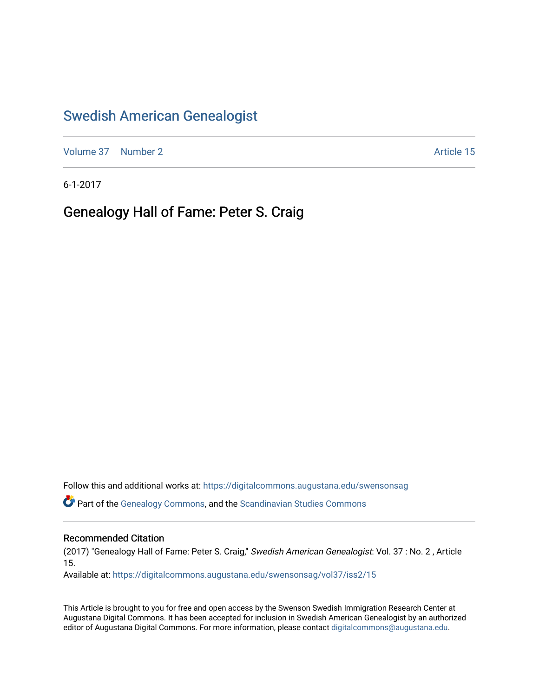## [Swedish American Genealogist](https://digitalcommons.augustana.edu/swensonsag)

[Volume 37](https://digitalcommons.augustana.edu/swensonsag/vol37) | [Number 2](https://digitalcommons.augustana.edu/swensonsag/vol37/iss2) Article 15

6-1-2017

### Genealogy Hall of Fame: Peter S. Craig

Follow this and additional works at: [https://digitalcommons.augustana.edu/swensonsag](https://digitalcommons.augustana.edu/swensonsag?utm_source=digitalcommons.augustana.edu%2Fswensonsag%2Fvol37%2Fiss2%2F15&utm_medium=PDF&utm_campaign=PDFCoverPages) 

Part of the [Genealogy Commons,](http://network.bepress.com/hgg/discipline/1342?utm_source=digitalcommons.augustana.edu%2Fswensonsag%2Fvol37%2Fiss2%2F15&utm_medium=PDF&utm_campaign=PDFCoverPages) and the [Scandinavian Studies Commons](http://network.bepress.com/hgg/discipline/485?utm_source=digitalcommons.augustana.edu%2Fswensonsag%2Fvol37%2Fiss2%2F15&utm_medium=PDF&utm_campaign=PDFCoverPages)

#### Recommended Citation

(2017) "Genealogy Hall of Fame: Peter S. Craig," Swedish American Genealogist: Vol. 37 : No. 2 , Article 15.

Available at: [https://digitalcommons.augustana.edu/swensonsag/vol37/iss2/15](https://digitalcommons.augustana.edu/swensonsag/vol37/iss2/15?utm_source=digitalcommons.augustana.edu%2Fswensonsag%2Fvol37%2Fiss2%2F15&utm_medium=PDF&utm_campaign=PDFCoverPages) 

This Article is brought to you for free and open access by the Swenson Swedish Immigration Research Center at Augustana Digital Commons. It has been accepted for inclusion in Swedish American Genealogist by an authorized editor of Augustana Digital Commons. For more information, please contact [digitalcommons@augustana.edu.](mailto:digitalcommons@augustana.edu)